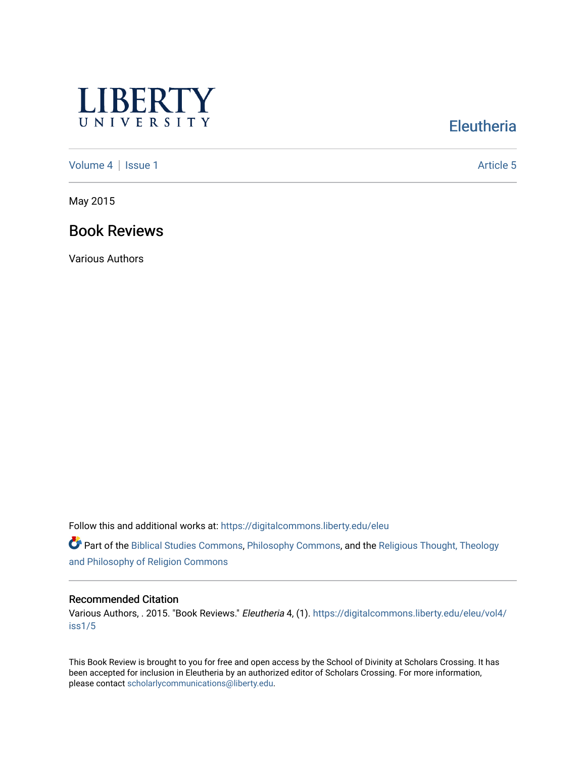

# **Eleutheria**

[Volume 4](https://digitalcommons.liberty.edu/eleu/vol4) | [Issue 1](https://digitalcommons.liberty.edu/eleu/vol4/iss1) Article 5

May 2015

# Book Reviews

Various Authors

Follow this and additional works at: [https://digitalcommons.liberty.edu/eleu](https://digitalcommons.liberty.edu/eleu?utm_source=digitalcommons.liberty.edu%2Feleu%2Fvol4%2Fiss1%2F5&utm_medium=PDF&utm_campaign=PDFCoverPages) 

Part of the [Biblical Studies Commons,](http://network.bepress.com/hgg/discipline/539?utm_source=digitalcommons.liberty.edu%2Feleu%2Fvol4%2Fiss1%2F5&utm_medium=PDF&utm_campaign=PDFCoverPages) [Philosophy Commons,](http://network.bepress.com/hgg/discipline/525?utm_source=digitalcommons.liberty.edu%2Feleu%2Fvol4%2Fiss1%2F5&utm_medium=PDF&utm_campaign=PDFCoverPages) and the [Religious Thought, Theology](http://network.bepress.com/hgg/discipline/544?utm_source=digitalcommons.liberty.edu%2Feleu%2Fvol4%2Fiss1%2F5&utm_medium=PDF&utm_campaign=PDFCoverPages)  [and Philosophy of Religion Commons](http://network.bepress.com/hgg/discipline/544?utm_source=digitalcommons.liberty.edu%2Feleu%2Fvol4%2Fiss1%2F5&utm_medium=PDF&utm_campaign=PDFCoverPages)

#### Recommended Citation

Various Authors, . 2015. "Book Reviews." Eleutheria 4, (1). [https://digitalcommons.liberty.edu/eleu/vol4/](https://digitalcommons.liberty.edu/eleu/vol4/iss1/5?utm_source=digitalcommons.liberty.edu%2Feleu%2Fvol4%2Fiss1%2F5&utm_medium=PDF&utm_campaign=PDFCoverPages) [iss1/5](https://digitalcommons.liberty.edu/eleu/vol4/iss1/5?utm_source=digitalcommons.liberty.edu%2Feleu%2Fvol4%2Fiss1%2F5&utm_medium=PDF&utm_campaign=PDFCoverPages)

This Book Review is brought to you for free and open access by the School of Divinity at Scholars Crossing. It has been accepted for inclusion in Eleutheria by an authorized editor of Scholars Crossing. For more information, please contact [scholarlycommunications@liberty.edu.](mailto:scholarlycommunications@liberty.edu)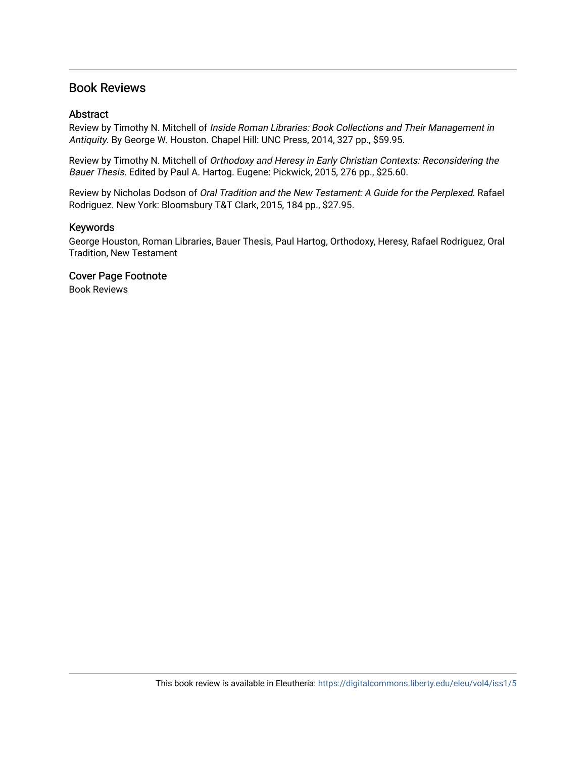## Book Reviews

#### Abstract

Review by Timothy N. Mitchell of Inside Roman Libraries: Book Collections and Their Management in Antiquity. By George W. Houston. Chapel Hill: UNC Press, 2014, 327 pp., \$59.95.

Review by Timothy N. Mitchell of Orthodoxy and Heresy in Early Christian Contexts: Reconsidering the Bauer Thesis. Edited by Paul A. Hartog. Eugene: Pickwick, 2015, 276 pp., \$25.60.

Review by Nicholas Dodson of Oral Tradition and the New Testament: A Guide for the Perplexed. Rafael Rodriguez. New York: Bloomsbury T&T Clark, 2015, 184 pp., \$27.95.

#### Keywords

George Houston, Roman Libraries, Bauer Thesis, Paul Hartog, Orthodoxy, Heresy, Rafael Rodriguez, Oral Tradition, New Testament

### Cover Page Footnote

Book Reviews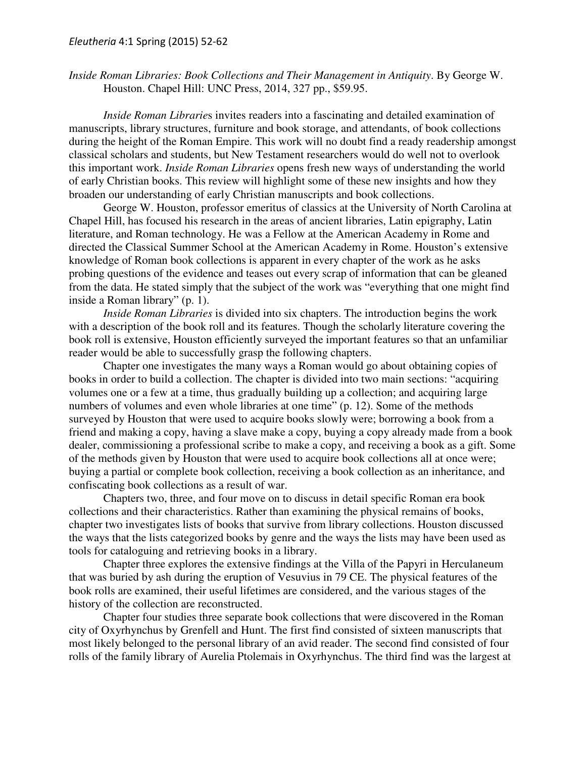*Inside Roman Libraries: Book Collections and Their Management in Antiquity*. By George W. Houston. Chapel Hill: UNC Press, 2014, 327 pp., \$59.95.

*Inside Roman Librarie*s invites readers into a fascinating and detailed examination of manuscripts, library structures, furniture and book storage, and attendants, of book collections during the height of the Roman Empire. This work will no doubt find a ready readership amongst classical scholars and students, but New Testament researchers would do well not to overlook this important work. *Inside Roman Libraries* opens fresh new ways of understanding the world of early Christian books. This review will highlight some of these new insights and how they broaden our understanding of early Christian manuscripts and book collections.

George W. Houston, professor emeritus of classics at the University of North Carolina at Chapel Hill, has focused his research in the areas of ancient libraries, Latin epigraphy, Latin literature, and Roman technology. He was a Fellow at the American Academy in Rome and directed the Classical Summer School at the American Academy in Rome. Houston's extensive knowledge of Roman book collections is apparent in every chapter of the work as he asks probing questions of the evidence and teases out every scrap of information that can be gleaned from the data. He stated simply that the subject of the work was "everything that one might find inside a Roman library" (p. 1).

*Inside Roman Libraries* is divided into six chapters. The introduction begins the work with a description of the book roll and its features. Though the scholarly literature covering the book roll is extensive, Houston efficiently surveyed the important features so that an unfamiliar reader would be able to successfully grasp the following chapters.

Chapter one investigates the many ways a Roman would go about obtaining copies of books in order to build a collection. The chapter is divided into two main sections: "acquiring volumes one or a few at a time, thus gradually building up a collection; and acquiring large numbers of volumes and even whole libraries at one time" (p. 12). Some of the methods surveyed by Houston that were used to acquire books slowly were; borrowing a book from a friend and making a copy, having a slave make a copy, buying a copy already made from a book dealer, commissioning a professional scribe to make a copy, and receiving a book as a gift. Some of the methods given by Houston that were used to acquire book collections all at once were; buying a partial or complete book collection, receiving a book collection as an inheritance, and confiscating book collections as a result of war.

Chapters two, three, and four move on to discuss in detail specific Roman era book collections and their characteristics. Rather than examining the physical remains of books, chapter two investigates lists of books that survive from library collections. Houston discussed the ways that the lists categorized books by genre and the ways the lists may have been used as tools for cataloguing and retrieving books in a library.

Chapter three explores the extensive findings at the Villa of the Papyri in Herculaneum that was buried by ash during the eruption of Vesuvius in 79 CE. The physical features of the book rolls are examined, their useful lifetimes are considered, and the various stages of the history of the collection are reconstructed.

Chapter four studies three separate book collections that were discovered in the Roman city of Oxyrhynchus by Grenfell and Hunt. The first find consisted of sixteen manuscripts that most likely belonged to the personal library of an avid reader. The second find consisted of four rolls of the family library of Aurelia Ptolemais in Oxyrhynchus. The third find was the largest at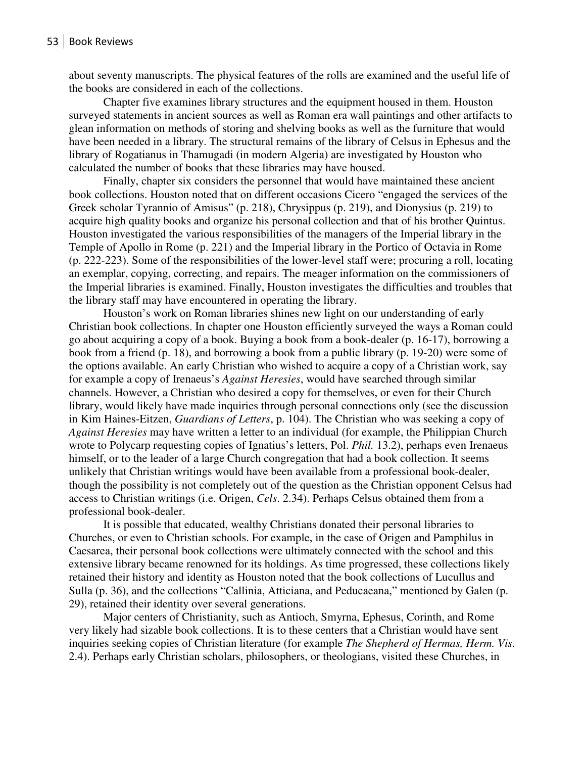about seventy manuscripts. The physical features of the rolls are examined and the useful life of the books are considered in each of the collections.

Chapter five examines library structures and the equipment housed in them. Houston surveyed statements in ancient sources as well as Roman era wall paintings and other artifacts to glean information on methods of storing and shelving books as well as the furniture that would have been needed in a library. The structural remains of the library of Celsus in Ephesus and the library of Rogatianus in Thamugadi (in modern Algeria) are investigated by Houston who calculated the number of books that these libraries may have housed.

Finally, chapter six considers the personnel that would have maintained these ancient book collections. Houston noted that on different occasions Cicero "engaged the services of the Greek scholar Tyrannio of Amisus" (p. 218), Chrysippus (p. 219), and Dionysius (p. 219) to acquire high quality books and organize his personal collection and that of his brother Quintus. Houston investigated the various responsibilities of the managers of the Imperial library in the Temple of Apollo in Rome (p. 221) and the Imperial library in the Portico of Octavia in Rome (p. 222-223). Some of the responsibilities of the lower-level staff were; procuring a roll, locating an exemplar, copying, correcting, and repairs. The meager information on the commissioners of the Imperial libraries is examined. Finally, Houston investigates the difficulties and troubles that the library staff may have encountered in operating the library.

Houston's work on Roman libraries shines new light on our understanding of early Christian book collections. In chapter one Houston efficiently surveyed the ways a Roman could go about acquiring a copy of a book. Buying a book from a book-dealer (p. 16-17), borrowing a book from a friend (p. 18), and borrowing a book from a public library (p. 19-20) were some of the options available. An early Christian who wished to acquire a copy of a Christian work, say for example a copy of Irenaeus's *Against Heresies*, would have searched through similar channels. However, a Christian who desired a copy for themselves, or even for their Church library, would likely have made inquiries through personal connections only (see the discussion in Kim Haines-Eitzen, *Guardians of Letters*, p. 104). The Christian who was seeking a copy of *Against Heresies* may have written a letter to an individual (for example, the Philippian Church wrote to Polycarp requesting copies of Ignatius's letters, Pol. *Phil.* 13.2), perhaps even Irenaeus himself, or to the leader of a large Church congregation that had a book collection. It seems unlikely that Christian writings would have been available from a professional book-dealer, though the possibility is not completely out of the question as the Christian opponent Celsus had access to Christian writings (i.e. Origen, *Cels*. 2.34). Perhaps Celsus obtained them from a professional book-dealer.

It is possible that educated, wealthy Christians donated their personal libraries to Churches, or even to Christian schools. For example, in the case of Origen and Pamphilus in Caesarea, their personal book collections were ultimately connected with the school and this extensive library became renowned for its holdings. As time progressed, these collections likely retained their history and identity as Houston noted that the book collections of Lucullus and Sulla (p. 36), and the collections "Callinia, Atticiana, and Peducaeana," mentioned by Galen (p. 29), retained their identity over several generations.

Major centers of Christianity, such as Antioch, Smyrna, Ephesus, Corinth, and Rome very likely had sizable book collections. It is to these centers that a Christian would have sent inquiries seeking copies of Christian literature (for example *The Shepherd of Hermas, Herm. Vis.* 2.4). Perhaps early Christian scholars, philosophers, or theologians, visited these Churches, in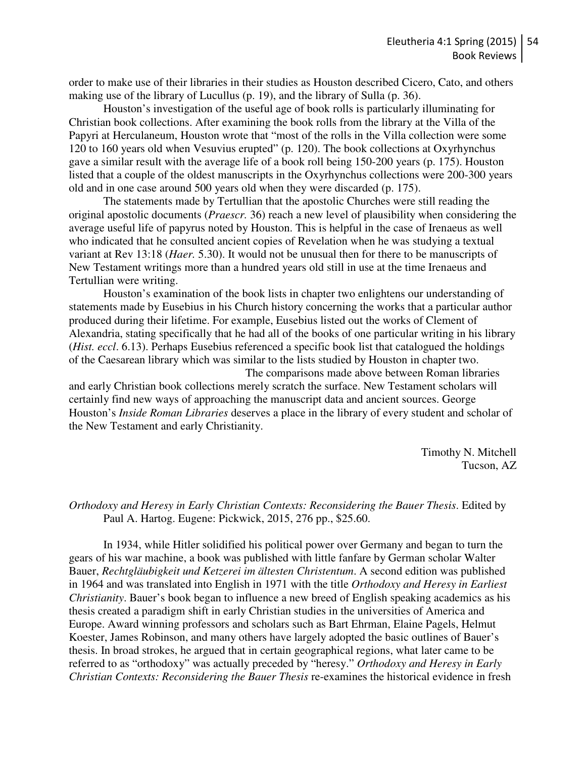order to make use of their libraries in their studies as Houston described Cicero, Cato, and others making use of the library of Lucullus (p. 19), and the library of Sulla (p. 36).

Houston's investigation of the useful age of book rolls is particularly illuminating for Christian book collections. After examining the book rolls from the library at the Villa of the Papyri at Herculaneum, Houston wrote that "most of the rolls in the Villa collection were some 120 to 160 years old when Vesuvius erupted" (p. 120). The book collections at Oxyrhynchus gave a similar result with the average life of a book roll being 150-200 years (p. 175). Houston listed that a couple of the oldest manuscripts in the Oxyrhynchus collections were 200-300 years old and in one case around 500 years old when they were discarded (p. 175).

The statements made by Tertullian that the apostolic Churches were still reading the original apostolic documents (*Praescr.* 36) reach a new level of plausibility when considering the average useful life of papyrus noted by Houston. This is helpful in the case of Irenaeus as well who indicated that he consulted ancient copies of Revelation when he was studying a textual variant at Rev 13:18 (*Haer.* 5.30). It would not be unusual then for there to be manuscripts of New Testament writings more than a hundred years old still in use at the time Irenaeus and Tertullian were writing.

Houston's examination of the book lists in chapter two enlightens our understanding of statements made by Eusebius in his Church history concerning the works that a particular author produced during their lifetime. For example, Eusebius listed out the works of Clement of Alexandria, stating specifically that he had all of the books of one particular writing in his library (*Hist. eccl*. 6.13). Perhaps Eusebius referenced a specific book list that catalogued the holdings of the Caesarean library which was similar to the lists studied by Houston in chapter two. The comparisons made above between Roman libraries

and early Christian book collections merely scratch the surface. New Testament scholars will certainly find new ways of approaching the manuscript data and ancient sources. George Houston's *Inside Roman Libraries* deserves a place in the library of every student and scholar of the New Testament and early Christianity.

> Timothy N. Mitchell Tucson, AZ

### *Orthodoxy and Heresy in Early Christian Contexts: Reconsidering the Bauer Thesis*. Edited by Paul A. Hartog. Eugene: Pickwick, 2015, 276 pp., \$25.60.

In 1934, while Hitler solidified his political power over Germany and began to turn the gears of his war machine, a book was published with little fanfare by German scholar Walter Bauer, *Rechtgläubigkeit und Ketzerei im ältesten Christentum*. A second edition was published in 1964 and was translated into English in 1971 with the title *Orthodoxy and Heresy in Earliest Christianity*. Bauer's book began to influence a new breed of English speaking academics as his thesis created a paradigm shift in early Christian studies in the universities of America and Europe. Award winning professors and scholars such as Bart Ehrman, Elaine Pagels, Helmut Koester, James Robinson, and many others have largely adopted the basic outlines of Bauer's thesis. In broad strokes, he argued that in certain geographical regions, what later came to be referred to as "orthodoxy" was actually preceded by "heresy." *Orthodoxy and Heresy in Early Christian Contexts: Reconsidering the Bauer Thesis* re-examines the historical evidence in fresh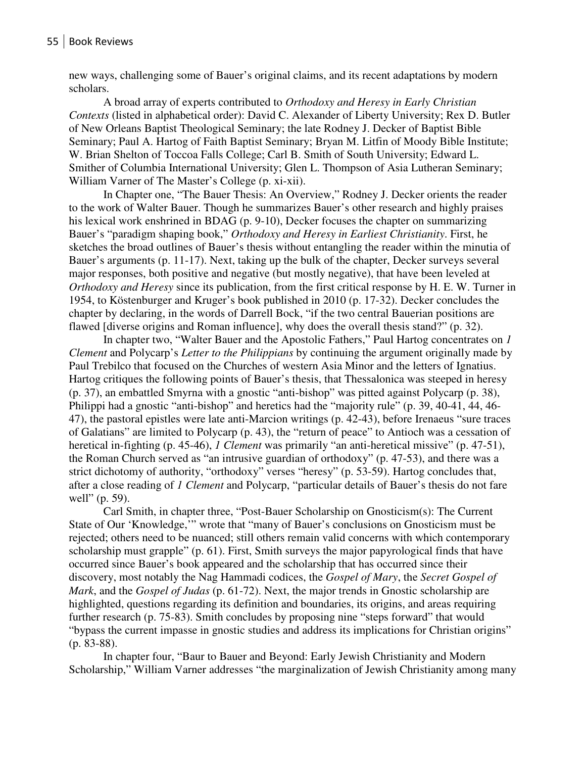new ways, challenging some of Bauer's original claims, and its recent adaptations by modern scholars.

A broad array of experts contributed to *Orthodoxy and Heresy in Early Christian Contexts* (listed in alphabetical order): David C. Alexander of Liberty University; Rex D. Butler of New Orleans Baptist Theological Seminary; the late Rodney J. Decker of Baptist Bible Seminary; Paul A. Hartog of Faith Baptist Seminary; Bryan M. Litfin of Moody Bible Institute; W. Brian Shelton of Toccoa Falls College; Carl B. Smith of South University; Edward L. Smither of Columbia International University; Glen L. Thompson of Asia Lutheran Seminary; William Varner of The Master's College (p. xi-xii).

In Chapter one, "The Bauer Thesis: An Overview," Rodney J. Decker orients the reader to the work of Walter Bauer. Though he summarizes Bauer's other research and highly praises his lexical work enshrined in BDAG (p. 9-10), Decker focuses the chapter on summarizing Bauer's "paradigm shaping book," *Orthodoxy and Heresy in Earliest Christianity*. First, he sketches the broad outlines of Bauer's thesis without entangling the reader within the minutia of Bauer's arguments (p. 11-17). Next, taking up the bulk of the chapter, Decker surveys several major responses, both positive and negative (but mostly negative), that have been leveled at *Orthodoxy and Heresy* since its publication, from the first critical response by H. E. W. Turner in 1954, to Köstenburger and Kruger's book published in 2010 (p. 17-32). Decker concludes the chapter by declaring, in the words of Darrell Bock, "if the two central Bauerian positions are flawed [diverse origins and Roman influence], why does the overall thesis stand?" (p. 32).

In chapter two, "Walter Bauer and the Apostolic Fathers," Paul Hartog concentrates on *1 Clement* and Polycarp's *Letter to the Philippians* by continuing the argument originally made by Paul Trebilco that focused on the Churches of western Asia Minor and the letters of Ignatius. Hartog critiques the following points of Bauer's thesis, that Thessalonica was steeped in heresy (p. 37), an embattled Smyrna with a gnostic "anti-bishop" was pitted against Polycarp (p. 38), Philippi had a gnostic "anti-bishop" and heretics had the "majority rule" (p. 39, 40-41, 44, 46- 47), the pastoral epistles were late anti-Marcion writings (p. 42-43), before Irenaeus "sure traces of Galatians" are limited to Polycarp (p. 43), the "return of peace" to Antioch was a cessation of heretical in-fighting (p. 45-46), *1 Clement* was primarily "an anti-heretical missive" (p. 47-51), the Roman Church served as "an intrusive guardian of orthodoxy" (p. 47-53), and there was a strict dichotomy of authority, "orthodoxy" verses "heresy" (p. 53-59). Hartog concludes that, after a close reading of *1 Clement* and Polycarp, "particular details of Bauer's thesis do not fare well" (p. 59).

Carl Smith, in chapter three, "Post-Bauer Scholarship on Gnosticism(s): The Current State of Our 'Knowledge,'" wrote that "many of Bauer's conclusions on Gnosticism must be rejected; others need to be nuanced; still others remain valid concerns with which contemporary scholarship must grapple" (p. 61). First, Smith surveys the major papyrological finds that have occurred since Bauer's book appeared and the scholarship that has occurred since their discovery, most notably the Nag Hammadi codices, the *Gospel of Mary*, the *Secret Gospel of Mark*, and the *Gospel of Judas* (p. 61-72). Next, the major trends in Gnostic scholarship are highlighted, questions regarding its definition and boundaries, its origins, and areas requiring further research (p. 75-83). Smith concludes by proposing nine "steps forward" that would "bypass the current impasse in gnostic studies and address its implications for Christian origins" (p. 83-88).

In chapter four, "Baur to Bauer and Beyond: Early Jewish Christianity and Modern Scholarship," William Varner addresses "the marginalization of Jewish Christianity among many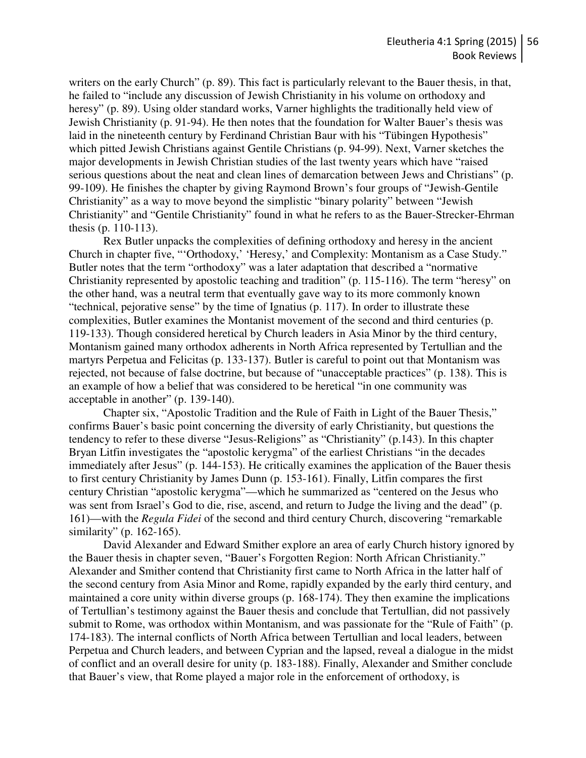writers on the early Church" (p. 89). This fact is particularly relevant to the Bauer thesis, in that, he failed to "include any discussion of Jewish Christianity in his volume on orthodoxy and heresy" (p. 89). Using older standard works, Varner highlights the traditionally held view of Jewish Christianity (p. 91-94). He then notes that the foundation for Walter Bauer's thesis was laid in the nineteenth century by Ferdinand Christian Baur with his "Tübingen Hypothesis" which pitted Jewish Christians against Gentile Christians (p. 94-99). Next, Varner sketches the major developments in Jewish Christian studies of the last twenty years which have "raised serious questions about the neat and clean lines of demarcation between Jews and Christians" (p. 99-109). He finishes the chapter by giving Raymond Brown's four groups of "Jewish-Gentile Christianity" as a way to move beyond the simplistic "binary polarity" between "Jewish Christianity" and "Gentile Christianity" found in what he refers to as the Bauer-Strecker-Ehrman thesis (p. 110-113).

Rex Butler unpacks the complexities of defining orthodoxy and heresy in the ancient Church in chapter five, "'Orthodoxy,' 'Heresy,' and Complexity: Montanism as a Case Study." Butler notes that the term "orthodoxy" was a later adaptation that described a "normative Christianity represented by apostolic teaching and tradition" (p. 115-116). The term "heresy" on the other hand, was a neutral term that eventually gave way to its more commonly known "technical, pejorative sense" by the time of Ignatius (p. 117). In order to illustrate these complexities, Butler examines the Montanist movement of the second and third centuries (p. 119-133). Though considered heretical by Church leaders in Asia Minor by the third century, Montanism gained many orthodox adherents in North Africa represented by Tertullian and the martyrs Perpetua and Felicitas (p. 133-137). Butler is careful to point out that Montanism was rejected, not because of false doctrine, but because of "unacceptable practices" (p. 138). This is an example of how a belief that was considered to be heretical "in one community was acceptable in another" (p. 139-140).

Chapter six, "Apostolic Tradition and the Rule of Faith in Light of the Bauer Thesis," confirms Bauer's basic point concerning the diversity of early Christianity, but questions the tendency to refer to these diverse "Jesus-Religions" as "Christianity" (p.143). In this chapter Bryan Litfin investigates the "apostolic kerygma" of the earliest Christians "in the decades immediately after Jesus" (p. 144-153). He critically examines the application of the Bauer thesis to first century Christianity by James Dunn (p. 153-161). Finally, Litfin compares the first century Christian "apostolic kerygma"—which he summarized as "centered on the Jesus who was sent from Israel's God to die, rise, ascend, and return to Judge the living and the dead" (p. 161)—with the *Regula Fidei* of the second and third century Church, discovering "remarkable similarity" (p. 162-165).

David Alexander and Edward Smither explore an area of early Church history ignored by the Bauer thesis in chapter seven, "Bauer's Forgotten Region: North African Christianity." Alexander and Smither contend that Christianity first came to North Africa in the latter half of the second century from Asia Minor and Rome, rapidly expanded by the early third century, and maintained a core unity within diverse groups (p. 168-174). They then examine the implications of Tertullian's testimony against the Bauer thesis and conclude that Tertullian, did not passively submit to Rome, was orthodox within Montanism, and was passionate for the "Rule of Faith" (p. 174-183). The internal conflicts of North Africa between Tertullian and local leaders, between Perpetua and Church leaders, and between Cyprian and the lapsed, reveal a dialogue in the midst of conflict and an overall desire for unity (p. 183-188). Finally, Alexander and Smither conclude that Bauer's view, that Rome played a major role in the enforcement of orthodoxy, is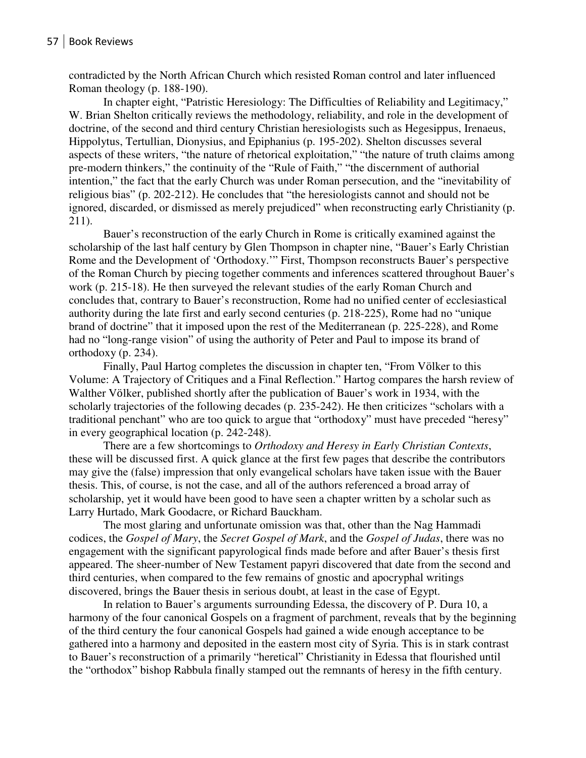contradicted by the North African Church which resisted Roman control and later influenced Roman theology (p. 188-190).

In chapter eight, "Patristic Heresiology: The Difficulties of Reliability and Legitimacy," W. Brian Shelton critically reviews the methodology, reliability, and role in the development of doctrine, of the second and third century Christian heresiologists such as Hegesippus, Irenaeus, Hippolytus, Tertullian, Dionysius, and Epiphanius (p. 195-202). Shelton discusses several aspects of these writers, "the nature of rhetorical exploitation," "the nature of truth claims among pre-modern thinkers," the continuity of the "Rule of Faith," "the discernment of authorial intention," the fact that the early Church was under Roman persecution, and the "inevitability of religious bias" (p. 202-212). He concludes that "the heresiologists cannot and should not be ignored, discarded, or dismissed as merely prejudiced" when reconstructing early Christianity (p. 211).

Bauer's reconstruction of the early Church in Rome is critically examined against the scholarship of the last half century by Glen Thompson in chapter nine, "Bauer's Early Christian Rome and the Development of 'Orthodoxy.'" First, Thompson reconstructs Bauer's perspective of the Roman Church by piecing together comments and inferences scattered throughout Bauer's work (p. 215-18). He then surveyed the relevant studies of the early Roman Church and concludes that, contrary to Bauer's reconstruction, Rome had no unified center of ecclesiastical authority during the late first and early second centuries (p. 218-225), Rome had no "unique brand of doctrine" that it imposed upon the rest of the Mediterranean (p. 225-228), and Rome had no "long-range vision" of using the authority of Peter and Paul to impose its brand of orthodoxy (p. 234).

Finally, Paul Hartog completes the discussion in chapter ten, "From Völker to this Volume: A Trajectory of Critiques and a Final Reflection." Hartog compares the harsh review of Walther Völker, published shortly after the publication of Bauer's work in 1934, with the scholarly trajectories of the following decades (p. 235-242). He then criticizes "scholars with a traditional penchant" who are too quick to argue that "orthodoxy" must have preceded "heresy" in every geographical location (p. 242-248).

There are a few shortcomings to *Orthodoxy and Heresy in Early Christian Contexts*, these will be discussed first. A quick glance at the first few pages that describe the contributors may give the (false) impression that only evangelical scholars have taken issue with the Bauer thesis. This, of course, is not the case, and all of the authors referenced a broad array of scholarship, yet it would have been good to have seen a chapter written by a scholar such as Larry Hurtado, Mark Goodacre, or Richard Bauckham.

The most glaring and unfortunate omission was that, other than the Nag Hammadi codices, the *Gospel of Mary*, the *Secret Gospel of Mark*, and the *Gospel of Judas*, there was no engagement with the significant papyrological finds made before and after Bauer's thesis first appeared. The sheer-number of New Testament papyri discovered that date from the second and third centuries, when compared to the few remains of gnostic and apocryphal writings discovered, brings the Bauer thesis in serious doubt, at least in the case of Egypt.

In relation to Bauer's arguments surrounding Edessa, the discovery of P. Dura 10, a harmony of the four canonical Gospels on a fragment of parchment, reveals that by the beginning of the third century the four canonical Gospels had gained a wide enough acceptance to be gathered into a harmony and deposited in the eastern most city of Syria. This is in stark contrast to Bauer's reconstruction of a primarily "heretical" Christianity in Edessa that flourished until the "orthodox" bishop Rabbula finally stamped out the remnants of heresy in the fifth century.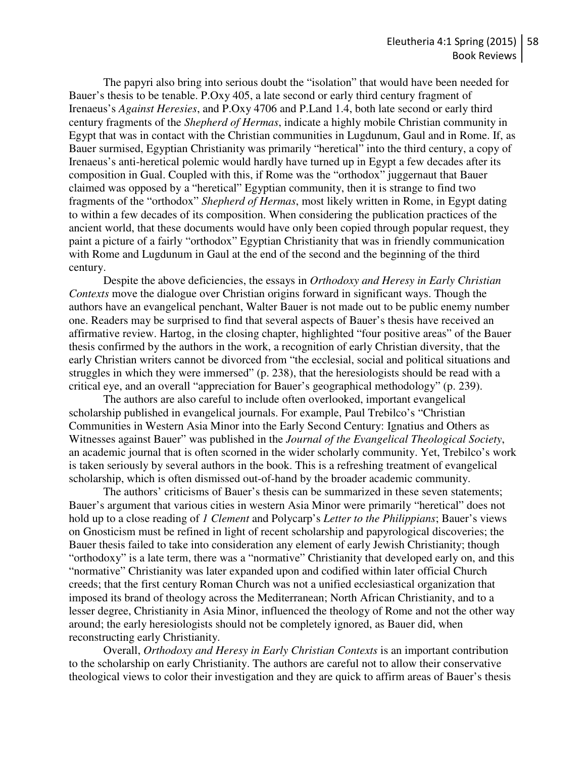The papyri also bring into serious doubt the "isolation" that would have been needed for Bauer's thesis to be tenable. P.Oxy 405, a late second or early third century fragment of Irenaeus's *Against Heresies*, and P.Oxy 4706 and P.Land 1.4, both late second or early third century fragments of the *Shepherd of Hermas*, indicate a highly mobile Christian community in Egypt that was in contact with the Christian communities in Lugdunum, Gaul and in Rome. If, as Bauer surmised, Egyptian Christianity was primarily "heretical" into the third century, a copy of Irenaeus's anti-heretical polemic would hardly have turned up in Egypt a few decades after its composition in Gual. Coupled with this, if Rome was the "orthodox" juggernaut that Bauer claimed was opposed by a "heretical" Egyptian community, then it is strange to find two fragments of the "orthodox" *Shepherd of Hermas*, most likely written in Rome, in Egypt dating to within a few decades of its composition. When considering the publication practices of the ancient world, that these documents would have only been copied through popular request, they paint a picture of a fairly "orthodox" Egyptian Christianity that was in friendly communication with Rome and Lugdunum in Gaul at the end of the second and the beginning of the third century.

Despite the above deficiencies, the essays in *Orthodoxy and Heresy in Early Christian Contexts* move the dialogue over Christian origins forward in significant ways. Though the authors have an evangelical penchant, Walter Bauer is not made out to be public enemy number one. Readers may be surprised to find that several aspects of Bauer's thesis have received an affirmative review. Hartog, in the closing chapter, highlighted "four positive areas" of the Bauer thesis confirmed by the authors in the work, a recognition of early Christian diversity, that the early Christian writers cannot be divorced from "the ecclesial, social and political situations and struggles in which they were immersed" (p. 238), that the heresiologists should be read with a critical eye, and an overall "appreciation for Bauer's geographical methodology" (p. 239).

 The authors are also careful to include often overlooked, important evangelical scholarship published in evangelical journals. For example, Paul Trebilco's "Christian Communities in Western Asia Minor into the Early Second Century: Ignatius and Others as Witnesses against Bauer" was published in the *Journal of the Evangelical Theological Society*, an academic journal that is often scorned in the wider scholarly community. Yet, Trebilco's work is taken seriously by several authors in the book. This is a refreshing treatment of evangelical scholarship, which is often dismissed out-of-hand by the broader academic community.

 The authors' criticisms of Bauer's thesis can be summarized in these seven statements; Bauer's argument that various cities in western Asia Minor were primarily "heretical" does not hold up to a close reading of *1 Clement* and Polycarp's *Letter to the Philippians*; Bauer's views on Gnosticism must be refined in light of recent scholarship and papyrological discoveries; the Bauer thesis failed to take into consideration any element of early Jewish Christianity; though "orthodoxy" is a late term, there was a "normative" Christianity that developed early on, and this "normative" Christianity was later expanded upon and codified within later official Church creeds; that the first century Roman Church was not a unified ecclesiastical organization that imposed its brand of theology across the Mediterranean; North African Christianity, and to a lesser degree, Christianity in Asia Minor, influenced the theology of Rome and not the other way around; the early heresiologists should not be completely ignored, as Bauer did, when reconstructing early Christianity.

Overall, *Orthodoxy and Heresy in Early Christian Contexts* is an important contribution to the scholarship on early Christianity. The authors are careful not to allow their conservative theological views to color their investigation and they are quick to affirm areas of Bauer's thesis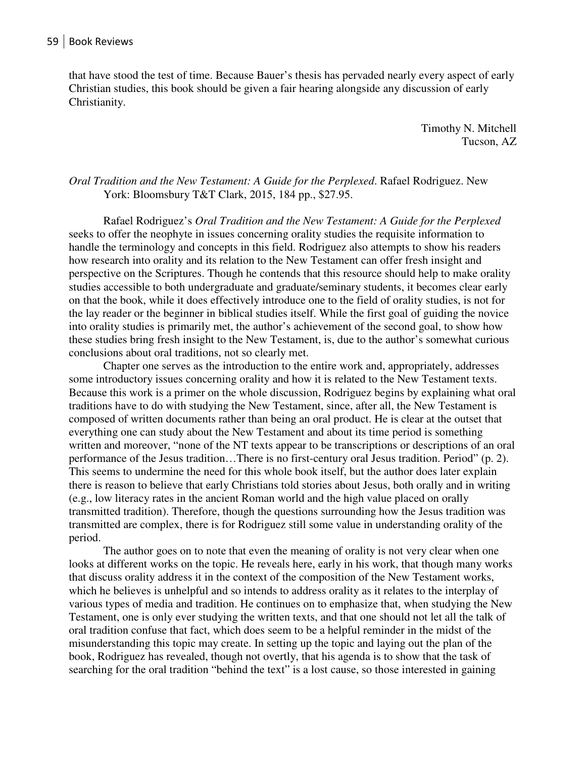that have stood the test of time. Because Bauer's thesis has pervaded nearly every aspect of early Christian studies, this book should be given a fair hearing alongside any discussion of early Christianity.

> Timothy N. Mitchell Tucson, AZ

## *Oral Tradition and the New Testament: A Guide for the Perplexed*. Rafael Rodriguez. New York: Bloomsbury T&T Clark, 2015, 184 pp., \$27.95.

Rafael Rodriguez's *Oral Tradition and the New Testament: A Guide for the Perplexed* seeks to offer the neophyte in issues concerning orality studies the requisite information to handle the terminology and concepts in this field. Rodriguez also attempts to show his readers how research into orality and its relation to the New Testament can offer fresh insight and perspective on the Scriptures. Though he contends that this resource should help to make orality studies accessible to both undergraduate and graduate/seminary students, it becomes clear early on that the book, while it does effectively introduce one to the field of orality studies, is not for the lay reader or the beginner in biblical studies itself. While the first goal of guiding the novice into orality studies is primarily met, the author's achievement of the second goal, to show how these studies bring fresh insight to the New Testament, is, due to the author's somewhat curious conclusions about oral traditions, not so clearly met.

 Chapter one serves as the introduction to the entire work and, appropriately, addresses some introductory issues concerning orality and how it is related to the New Testament texts. Because this work is a primer on the whole discussion, Rodriguez begins by explaining what oral traditions have to do with studying the New Testament, since, after all, the New Testament is composed of written documents rather than being an oral product. He is clear at the outset that everything one can study about the New Testament and about its time period is something written and moreover, "none of the NT texts appear to be transcriptions or descriptions of an oral performance of the Jesus tradition…There is no first-century oral Jesus tradition. Period" (p. 2). This seems to undermine the need for this whole book itself, but the author does later explain there is reason to believe that early Christians told stories about Jesus, both orally and in writing (e.g., low literacy rates in the ancient Roman world and the high value placed on orally transmitted tradition). Therefore, though the questions surrounding how the Jesus tradition was transmitted are complex, there is for Rodriguez still some value in understanding orality of the period.

 The author goes on to note that even the meaning of orality is not very clear when one looks at different works on the topic. He reveals here, early in his work, that though many works that discuss orality address it in the context of the composition of the New Testament works, which he believes is unhelpful and so intends to address orality as it relates to the interplay of various types of media and tradition. He continues on to emphasize that, when studying the New Testament, one is only ever studying the written texts, and that one should not let all the talk of oral tradition confuse that fact, which does seem to be a helpful reminder in the midst of the misunderstanding this topic may create. In setting up the topic and laying out the plan of the book, Rodriguez has revealed, though not overtly, that his agenda is to show that the task of searching for the oral tradition "behind the text" is a lost cause, so those interested in gaining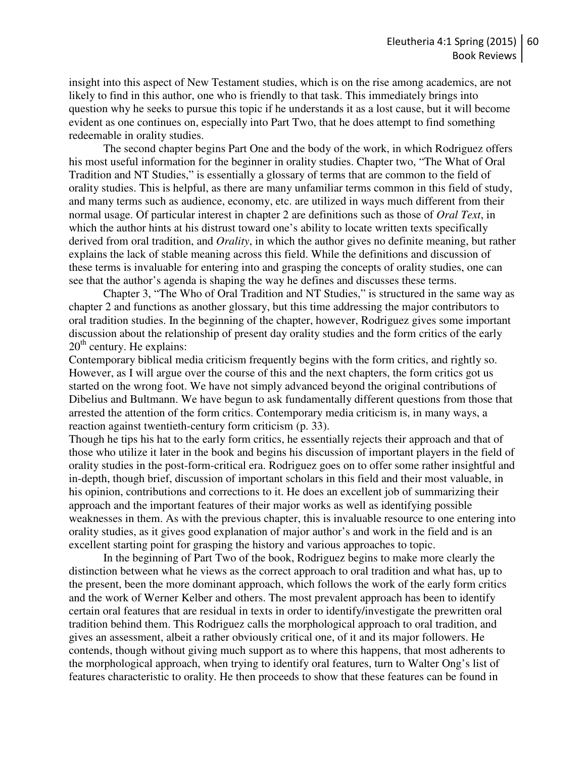insight into this aspect of New Testament studies, which is on the rise among academics, are not likely to find in this author, one who is friendly to that task. This immediately brings into question why he seeks to pursue this topic if he understands it as a lost cause, but it will become evident as one continues on, especially into Part Two, that he does attempt to find something redeemable in orality studies.

 The second chapter begins Part One and the body of the work, in which Rodriguez offers his most useful information for the beginner in orality studies. Chapter two, "The What of Oral Tradition and NT Studies," is essentially a glossary of terms that are common to the field of orality studies. This is helpful, as there are many unfamiliar terms common in this field of study, and many terms such as audience, economy, etc. are utilized in ways much different from their normal usage. Of particular interest in chapter 2 are definitions such as those of *Oral Text*, in which the author hints at his distrust toward one's ability to locate written texts specifically derived from oral tradition, and *Orality*, in which the author gives no definite meaning, but rather explains the lack of stable meaning across this field. While the definitions and discussion of these terms is invaluable for entering into and grasping the concepts of orality studies, one can see that the author's agenda is shaping the way he defines and discusses these terms.

 Chapter 3, "The Who of Oral Tradition and NT Studies," is structured in the same way as chapter 2 and functions as another glossary, but this time addressing the major contributors to oral tradition studies. In the beginning of the chapter, however, Rodriguez gives some important discussion about the relationship of present day orality studies and the form critics of the early  $20<sup>th</sup>$  century. He explains:

Contemporary biblical media criticism frequently begins with the form critics, and rightly so. However, as I will argue over the course of this and the next chapters, the form critics got us started on the wrong foot. We have not simply advanced beyond the original contributions of Dibelius and Bultmann. We have begun to ask fundamentally different questions from those that arrested the attention of the form critics. Contemporary media criticism is, in many ways, a reaction against twentieth-century form criticism (p. 33).

Though he tips his hat to the early form critics, he essentially rejects their approach and that of those who utilize it later in the book and begins his discussion of important players in the field of orality studies in the post-form-critical era. Rodriguez goes on to offer some rather insightful and in-depth, though brief, discussion of important scholars in this field and their most valuable, in his opinion, contributions and corrections to it. He does an excellent job of summarizing their approach and the important features of their major works as well as identifying possible weaknesses in them. As with the previous chapter, this is invaluable resource to one entering into orality studies, as it gives good explanation of major author's and work in the field and is an excellent starting point for grasping the history and various approaches to topic.

 In the beginning of Part Two of the book, Rodriguez begins to make more clearly the distinction between what he views as the correct approach to oral tradition and what has, up to the present, been the more dominant approach, which follows the work of the early form critics and the work of Werner Kelber and others. The most prevalent approach has been to identify certain oral features that are residual in texts in order to identify/investigate the prewritten oral tradition behind them. This Rodriguez calls the morphological approach to oral tradition, and gives an assessment, albeit a rather obviously critical one, of it and its major followers. He contends, though without giving much support as to where this happens, that most adherents to the morphological approach, when trying to identify oral features, turn to Walter Ong's list of features characteristic to orality. He then proceeds to show that these features can be found in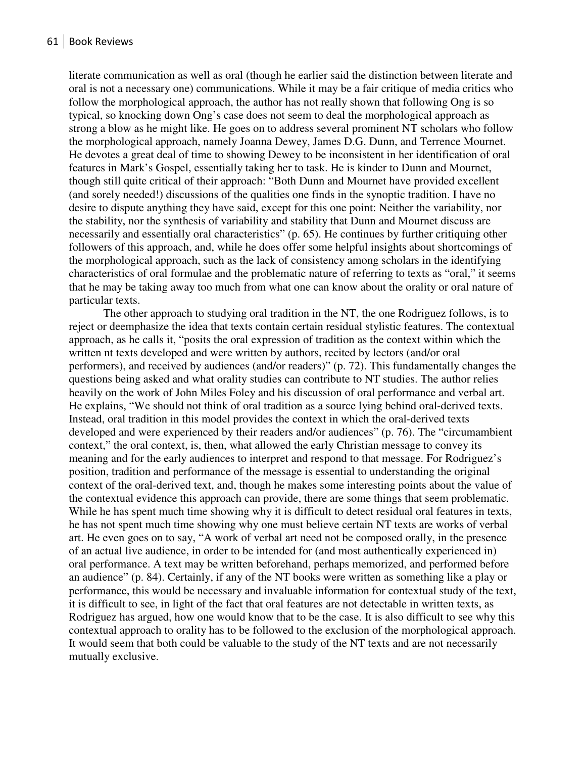literate communication as well as oral (though he earlier said the distinction between literate and oral is not a necessary one) communications. While it may be a fair critique of media critics who follow the morphological approach, the author has not really shown that following Ong is so typical, so knocking down Ong's case does not seem to deal the morphological approach as strong a blow as he might like. He goes on to address several prominent NT scholars who follow the morphological approach, namely Joanna Dewey, James D.G. Dunn, and Terrence Mournet. He devotes a great deal of time to showing Dewey to be inconsistent in her identification of oral features in Mark's Gospel, essentially taking her to task. He is kinder to Dunn and Mournet, though still quite critical of their approach: "Both Dunn and Mournet have provided excellent (and sorely needed!) discussions of the qualities one finds in the synoptic tradition. I have no desire to dispute anything they have said, except for this one point: Neither the variability, nor the stability, nor the synthesis of variability and stability that Dunn and Mournet discuss are necessarily and essentially oral characteristics" (p. 65). He continues by further critiquing other followers of this approach, and, while he does offer some helpful insights about shortcomings of the morphological approach, such as the lack of consistency among scholars in the identifying characteristics of oral formulae and the problematic nature of referring to texts as "oral," it seems that he may be taking away too much from what one can know about the orality or oral nature of particular texts.

The other approach to studying oral tradition in the NT, the one Rodriguez follows, is to reject or deemphasize the idea that texts contain certain residual stylistic features. The contextual approach, as he calls it, "posits the oral expression of tradition as the context within which the written nt texts developed and were written by authors, recited by lectors (and/or oral performers), and received by audiences (and/or readers)" (p. 72). This fundamentally changes the questions being asked and what orality studies can contribute to NT studies. The author relies heavily on the work of John Miles Foley and his discussion of oral performance and verbal art. He explains, "We should not think of oral tradition as a source lying behind oral-derived texts. Instead, oral tradition in this model provides the context in which the oral-derived texts developed and were experienced by their readers and/or audiences" (p. 76). The "circumambient context," the oral context, is, then, what allowed the early Christian message to convey its meaning and for the early audiences to interpret and respond to that message. For Rodriguez's position, tradition and performance of the message is essential to understanding the original context of the oral-derived text, and, though he makes some interesting points about the value of the contextual evidence this approach can provide, there are some things that seem problematic. While he has spent much time showing why it is difficult to detect residual oral features in texts, he has not spent much time showing why one must believe certain NT texts are works of verbal art. He even goes on to say, "A work of verbal art need not be composed orally, in the presence of an actual live audience, in order to be intended for (and most authentically experienced in) oral performance. A text may be written beforehand, perhaps memorized, and performed before an audience" (p. 84). Certainly, if any of the NT books were written as something like a play or performance, this would be necessary and invaluable information for contextual study of the text, it is difficult to see, in light of the fact that oral features are not detectable in written texts, as Rodriguez has argued, how one would know that to be the case. It is also difficult to see why this contextual approach to orality has to be followed to the exclusion of the morphological approach. It would seem that both could be valuable to the study of the NT texts and are not necessarily mutually exclusive.